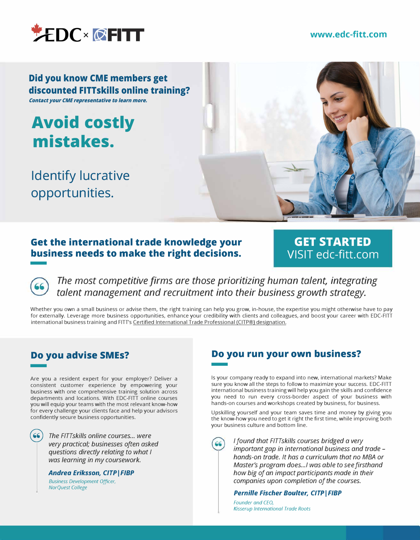

#### **[www.edc-fitt.com](https://bit.ly/3KF7ROt)**

**Did you know CME members get discounted FITTskills online training? Contact your CME representative to learn more.**

**mistakes. Avoid costly** 

**Identify lucrative opportunities.** 



### **Get the international trade knowledge your business needs to make the right decisions.**  -

### **GET STARTED [VISIT edc-fitt.com](https://bit.ly/3KF7ROt)**

*The most competitive firms are those prioritizing human talent, integrating talent management and recruitment into their business growth strategy.* 

Whether you own a small business or advise them, the right training can help you grow, in-house, the expertise you might otherwise have to pay for externally. Leverage more business opportunities, enhance your credibility with clients and colleagues, and boost your career with EDC-FITT international business training and FITT's [Certified International Trade Professional \(CITP®\) designation.](https://bit.ly/3uO7bBf) 

# **Do you advise SMEs?**  -

Are you a resident expert for your employer? Deliver a consistent customer experience by empowering your business with one comprehensive training solution across departments and locations. With EDC-FITT online courses you will equip your teams with the most relevant know-how for every challenge your clients face and help your advisors confidently secure business opportunities.

> @ *The FITTskills online courses ... were very practical; businesses often asked questions directly relating to what I was learning in my coursework.*

**Andrea Eriksson, CITP | FIBP** 

*Business Development Officer, NorQuest College* 

# **Do you run your own business? Do** |

Is your company ready to expand into new, international markets? Make sure you know all the steps to follow to maximize your success. EDC-FITT international business training will help you gain the skills and confidence you need to run every cross-border aspect of your business with hands-on courses and workshops created by business, for business.

Upskilling yourself and your team saves time and money by giving you the know-how you need to get it right the first time, while improving both your business culture and bottom line.

*I* found that FITTskills courses bridged a very *important gap in international business and trade hands-on trade. It has a curriculum that no MBA or Master's program does ... / was able to see firsthand how big of an impact participants made in their companies upon completion of the courses.* 

#### **Pernille Fischer Boulter, CITP | FIBP**

*Founder and CEO, Kisserup International Trade Roots*